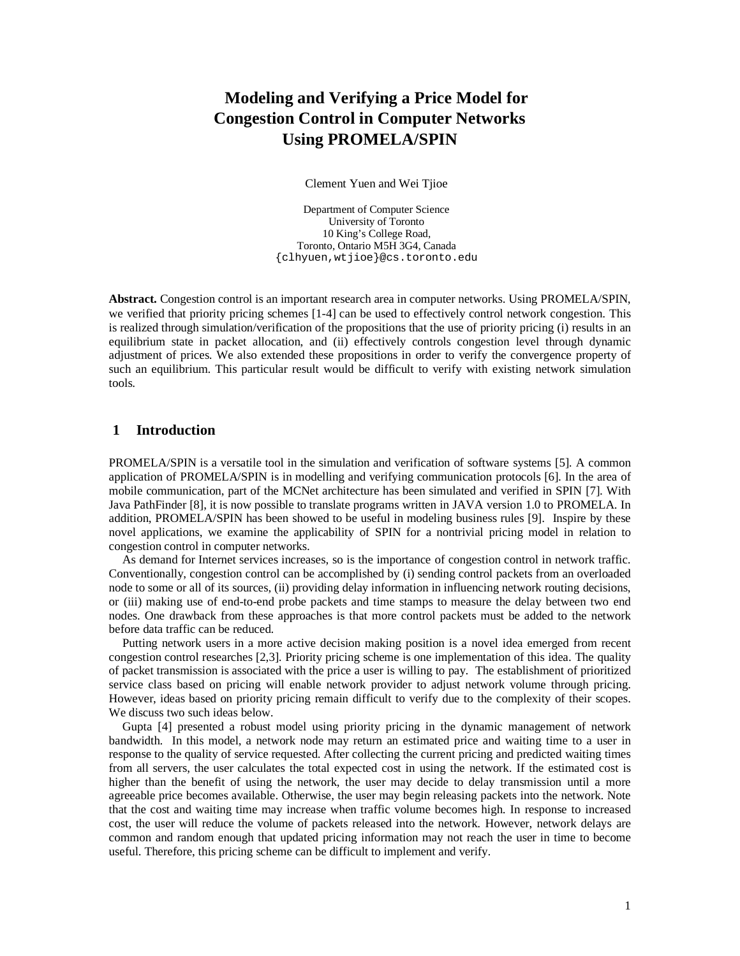# **Modeling and Verifying a Price Model for Congestion Control in Computer Networks Using PROMELA/SPIN**

Clement Yuen and Wei Tjioe

Department of Computer Science University of Toronto 10 King's College Road, Toronto, Ontario M5H 3G4, Canada {clhyuen,wtjioe}@cs.toronto.edu

**Abstract.** Congestion control is an important research area in computer networks. Using PROMELA/SPIN, we verified that priority pricing schemes [1-4] can be used to effectively control network congestion. This is realized through simulation/verification of the propositions that the use of priority pricing (i) results in an equilibrium state in packet allocation, and (ii) effectively controls congestion level through dynamic adjustment of prices. We also extended these propositions in order to verify the convergence property of such an equilibrium. This particular result would be difficult to verify with existing network simulation tools.

# **1 Introduction**

PROMELA/SPIN is a versatile tool in the simulation and verification of software systems [5]. A common application of PROMELA/SPIN is in modelling and verifying communication protocols [6]. In the area of mobile communication, part of the MCNet architecture has been simulated and verified in SPIN [7]. With Java PathFinder [8], it is now possible to translate programs written in JAVA version 1.0 to PROMELA. In addition, PROMELA/SPIN has been showed to be useful in modeling business rules [9]. Inspire by these novel applications, we examine the applicability of SPIN for a nontrivial pricing model in relation to congestion control in computer networks.

As demand for Internet services increases, so is the importance of congestion control in network traffic. Conventionally, congestion control can be accomplished by (i) sending control packets from an overloaded node to some or all of its sources, (ii) providing delay information in influencing network routing decisions, or (iii) making use of end-to-end probe packets and time stamps to measure the delay between two end nodes. One drawback from these approaches is that more control packets must be added to the network before data traffic can be reduced.

Putting network users in a more active decision making position is a novel idea emerged from recent congestion control researches [2,3]. Priority pricing scheme is one implementation of this idea. The quality of packet transmission is associated with the price a user is willing to pay. The establishment of prioritized service class based on pricing will enable network provider to adjust network volume through pricing. However, ideas based on priority pricing remain difficult to verify due to the complexity of their scopes. We discuss two such ideas below.

Gupta [4] presented a robust model using priority pricing in the dynamic management of network bandwidth. In this model, a network node may return an estimated price and waiting time to a user in response to the quality of service requested. After collecting the current pricing and predicted waiting times from all servers, the user calculates the total expected cost in using the network. If the estimated cost is higher than the benefit of using the network, the user may decide to delay transmission until a more agreeable price becomes available. Otherwise, the user may begin releasing packets into the network. Note that the cost and waiting time may increase when traffic volume becomes high. In response to increased cost, the user will reduce the volume of packets released into the network. However, network delays are common and random enough that updated pricing information may not reach the user in time to become useful. Therefore, this pricing scheme can be difficult to implement and verify.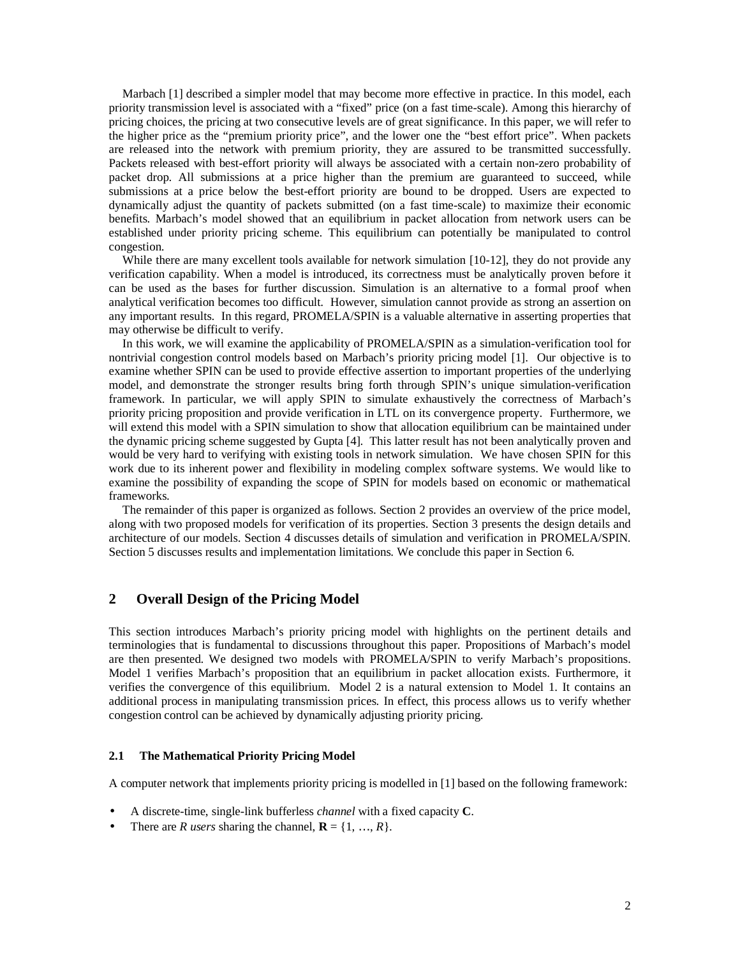Marbach [1] described a simpler model that may become more effective in practice. In this model, each priority transmission level is associated with a "fixed" price (on a fast time-scale). Among this hierarchy of pricing choices, the pricing at two consecutive levels are of great significance. In this paper, we will refer to the higher price as the "premium priority price", and the lower one the "best effort price". When packets are released into the network with premium priority, they are assured to be transmitted successfully. Packets released with best-effort priority will always be associated with a certain non-zero probability of packet drop. All submissions at a price higher than the premium are guaranteed to succeed, while submissions at a price below the best-effort priority are bound to be dropped. Users are expected to dynamically adjust the quantity of packets submitted (on a fast time-scale) to maximize their economic benefits. Marbach's model showed that an equilibrium in packet allocation from network users can be established under priority pricing scheme. This equilibrium can potentially be manipulated to control congestion.

While there are many excellent tools available for network simulation [10-12], they do not provide any verification capability. When a model is introduced, its correctness must be analytically proven before it can be used as the bases for further discussion. Simulation is an alternative to a formal proof when analytical verification becomes too difficult. However, simulation cannot provide as strong an assertion on any important results. In this regard, PROMELA/SPIN is a valuable alternative in asserting properties that may otherwise be difficult to verify.

In this work, we will examine the applicability of PROMELA/SPIN as a simulation-verification tool for nontrivial congestion control models based on Marbach's priority pricing model [1]. Our objective is to examine whether SPIN can be used to provide effective assertion to important properties of the underlying model, and demonstrate the stronger results bring forth through SPIN's unique simulation-verification framework. In particular, we will apply SPIN to simulate exhaustively the correctness of Marbach's priority pricing proposition and provide verification in LTL on its convergence property. Furthermore, we will extend this model with a SPIN simulation to show that allocation equilibrium can be maintained under the dynamic pricing scheme suggested by Gupta [4]. This latter result has not been analytically proven and would be very hard to verifying with existing tools in network simulation. We have chosen SPIN for this work due to its inherent power and flexibility in modeling complex software systems. We would like to examine the possibility of expanding the scope of SPIN for models based on economic or mathematical frameworks.

The remainder of this paper is organized as follows. Section 2 provides an overview of the price model, along with two proposed models for verification of its properties. Section 3 presents the design details and architecture of our models. Section 4 discusses details of simulation and verification in PROMELA/SPIN. Section 5 discusses results and implementation limitations. We conclude this paper in Section 6.

# **2 Overall Design of the Pricing Model**

This section introduces Marbach's priority pricing model with highlights on the pertinent details and terminologies that is fundamental to discussions throughout this paper. Propositions of Marbach's model are then presented. We designed two models with PROMELA/SPIN to verify Marbach's propositions. Model 1 verifies Marbach's proposition that an equilibrium in packet allocation exists. Furthermore, it verifies the convergence of this equilibrium. Model 2 is a natural extension to Model 1. It contains an additional process in manipulating transmission prices. In effect, this process allows us to verify whether congestion control can be achieved by dynamically adjusting priority pricing.

# **2.1 The Mathematical Priority Pricing Model**

A computer network that implements priority pricing is modelled in [1] based on the following framework:

- A discrete-time, single-link bufferless *channel* with a fixed capacity **C**.
- There are *R users* sharing the channel,  $\mathbf{R} = \{1, ..., R\}$ .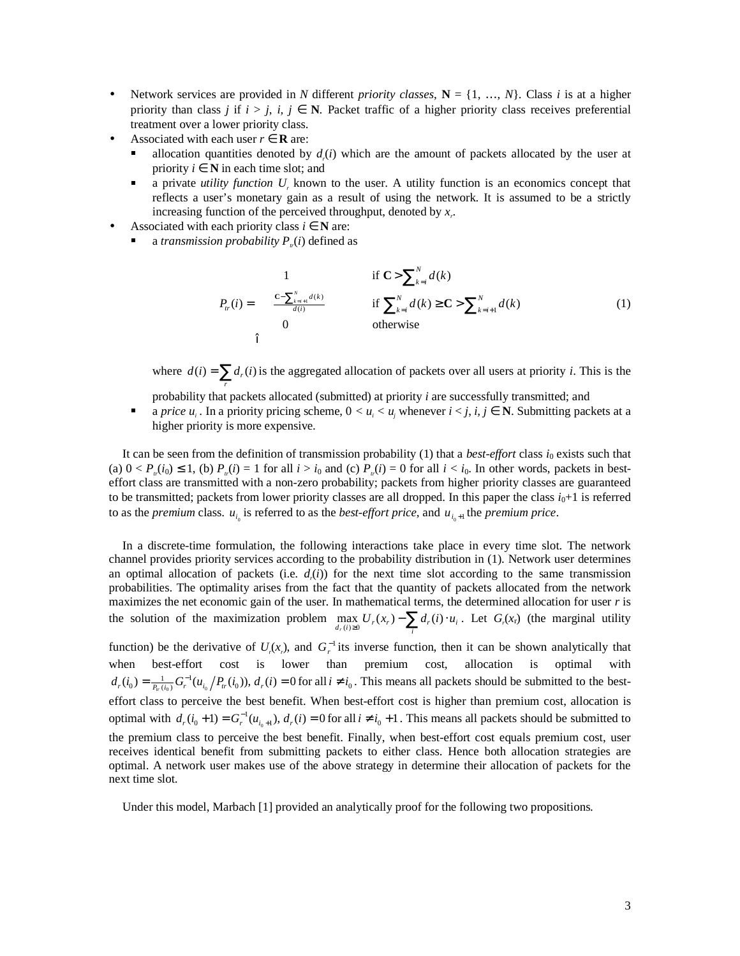- Network services are provided in *N* different *priority classes*,  $N = \{1, ..., N\}$ . Class *i* is at a higher priority than class *j* if  $i > j$ ,  $i, j \in \mathbb{N}$ . Packet traffic of a higher priority class receives preferential treatment over a lower priority class.
- Associated with each user  $r \in \mathbf{R}$  are:
	- allocation quantities denoted by  $d_r(i)$  which are the amount of packets allocated by the user at priority  $i \in \mathbb{N}$  in each time slot; and
	- a private *utility function U<sup>r</sup>* known to the user. A utility function is an economics concept that reflects a user's monetary gain as a result of using the network. It is assumed to be a strictly increasing function of the perceived throughput, denoted by *x<sup>r</sup>* .
- Associated with each priority class  $i \in \mathbb{N}$  are:
	- a *transmission probability*  $P_{\nu}(i)$  defined as

$$
P_{tr}(i) = \begin{cases} 1 & \text{if } C > \sum_{k=i}^{N} d(k) \\ \frac{c - \sum_{k=i+1}^{N} d(k)}{d(i)} & \text{if } \sum_{k=i}^{N} d(k) \ge C > \sum_{k=i+1}^{N} d(k) \\ 0 & \text{otherwise} \end{cases}
$$
(1)

where  $d(i) = \sum_{r} d_r(i)$  is the aggregated allocation of packets over all users at priority *i*. This is the

- probability that packets allocated (submitted) at priority *i* are successfully transmitted; and
- a *price*  $u_i$ . In a priority pricing scheme,  $0 < u_i < u_j$  whenever  $i < j$ ,  $i, j \in \mathbb{N}$ . Submitting packets at a higher priority is more expensive.

It can be seen from the definition of transmission probability (1) that a *best-effort* class  $i_0$  exists such that (a)  $0 < P_{\nu}(i_0) \le 1$ , (b)  $P_{\nu}(i) = 1$  for all  $i > i_0$  and (c)  $P_{\nu}(i) = 0$  for all  $i < i_0$ . In other words, packets in besteffort class are transmitted with a non-zero probability; packets from higher priority classes are guaranteed to be transmitted; packets from lower priority classes are all dropped. In this paper the class  $i_0+1$  is referred to as the *premium* class.  $u_{i_0}$  is referred to as the *best-effort price*, and  $u_{i_0+1}$  the *premium price*.

In a discrete-time formulation, the following interactions take place in every time slot. The network channel provides priority services according to the probability distribution in (1). Network user determines an optimal allocation of packets (i.e.  $d_r(i)$ ) for the next time slot according to the same transmission probabilities. The optimality arises from the fact that the quantity of packets allocated from the network maximizes the net economic gain of the user. In mathematical terms, the determined allocation for user *r* is the solution of the maximization problem  $\max_{d_r(i)\geq 0} U_r(x_r) - \sum_i d_r(i) \cdot u_i$ . Let  $G_r(x_r)$  (the marginal utility

function) be the derivative of  $U_r(x)$ , and  $G_r^{-1}$  its inverse function, then it can be shown analytically that when best-effort cost is lower than premium cost, allocation is optimal with  $d_r(i_0) = \frac{1}{P_{tr}(i_0)} G_r^{-1}(u_{i_0}/P_{tr}(i_0))$ ,  $d_r(i) = 0$  for all  $i \neq i_0$ . This means all packets should be submitted to the besteffort class to perceive the best benefit. When best-effort cost is higher than premium cost, allocation is optimal with  $d_r(i_0 + 1) = G_r^{-1}(u_{i_0+1}), d_r(i) = 0$  for all  $i \neq i_0 + 1$ . This means all packets should be submitted to the premium class to perceive the best benefit. Finally, when best-effort cost equals premium cost, user receives identical benefit from submitting packets to either class. Hence both allocation strategies are optimal. A network user makes use of the above strategy in determine their allocation of packets for the next time slot.

Under this model, Marbach [1] provided an analytically proof for the following two propositions.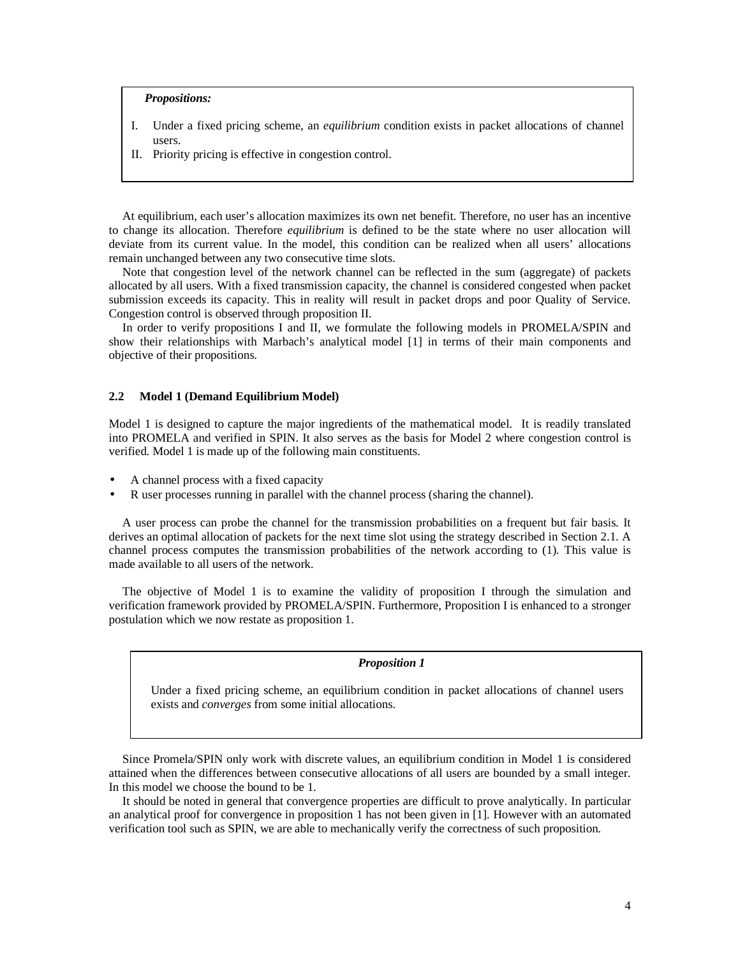# *Propositions:*

- I. Under a fixed pricing scheme, an *equilibrium* condition exists in packet allocations of channel users.
- II. Priority pricing is effective in congestion control.

At equilibrium, each user's allocation maximizes its own net benefit. Therefore, no user has an incentive to change its allocation. Therefore *equilibrium* is defined to be the state where no user allocation will deviate from its current value. In the model, this condition can be realized when all users' allocations remain unchanged between any two consecutive time slots.

Note that congestion level of the network channel can be reflected in the sum (aggregate) of packets allocated by all users. With a fixed transmission capacity, the channel is considered congested when packet submission exceeds its capacity. This in reality will result in packet drops and poor Quality of Service. Congestion control is observed through proposition II.

In order to verify propositions I and II, we formulate the following models in PROMELA/SPIN and show their relationships with Marbach's analytical model [1] in terms of their main components and objective of their propositions.

#### **2.2 Model 1 (Demand Equilibrium Model)**

Model 1 is designed to capture the major ingredients of the mathematical model. It is readily translated into PROMELA and verified in SPIN. It also serves as the basis for Model 2 where congestion control is verified. Model 1 is made up of the following main constituents.

- A channel process with a fixed capacity
- R user processes running in parallel with the channel process (sharing the channel).

A user process can probe the channel for the transmission probabilities on a frequent but fair basis. It derives an optimal allocation of packets for the next time slot using the strategy described in Section 2.1. A channel process computes the transmission probabilities of the network according to (1). This value is made available to all users of the network.

The objective of Model 1 is to examine the validity of proposition I through the simulation and verification framework provided by PROMELA/SPIN. Furthermore, Proposition I is enhanced to a stronger postulation which we now restate as proposition 1.

# *Proposition 1*

Under a fixed pricing scheme, an equilibrium condition in packet allocations of channel users exists and *converges* from some initial allocations.

Since Promela/SPIN only work with discrete values, an equilibrium condition in Model 1 is considered attained when the differences between consecutive allocations of all users are bounded by a small integer. In this model we choose the bound to be 1.

It should be noted in general that convergence properties are difficult to prove analytically. In particular an analytical proof for convergence in proposition 1 has not been given in [1]. However with an automated verification tool such as SPIN, we are able to mechanically verify the correctness of such proposition.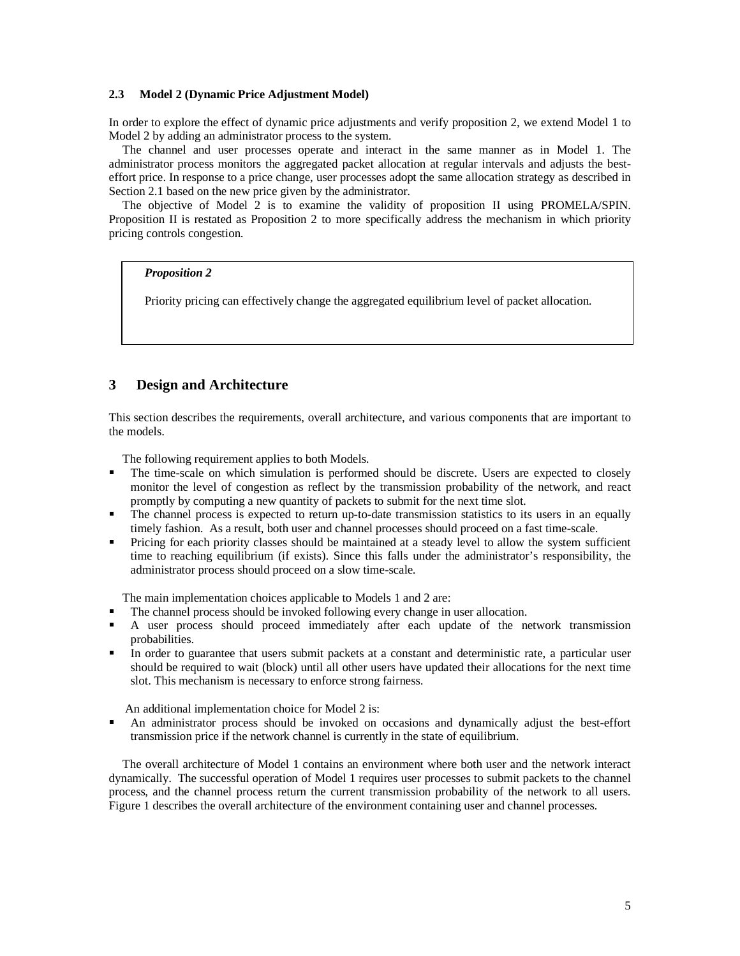#### **2.3 Model 2 (Dynamic Price Adjustment Model)**

In order to explore the effect of dynamic price adjustments and verify proposition 2, we extend Model 1 to Model 2 by adding an administrator process to the system.

The channel and user processes operate and interact in the same manner as in Model 1. The administrator process monitors the aggregated packet allocation at regular intervals and adjusts the besteffort price. In response to a price change, user processes adopt the same allocation strategy as described in Section 2.1 based on the new price given by the administrator.

The objective of Model 2 is to examine the validity of proposition II using PROMELA/SPIN. Proposition II is restated as Proposition 2 to more specifically address the mechanism in which priority pricing controls congestion.

#### *Proposition 2*

Priority pricing can effectively change the aggregated equilibrium level of packet allocation.

# **3 Design and Architecture**

This section describes the requirements, overall architecture, and various components that are important to the models.

The following requirement applies to both Models.

- The time-scale on which simulation is performed should be discrete. Users are expected to closely monitor the level of congestion as reflect by the transmission probability of the network, and react promptly by computing a new quantity of packets to submit for the next time slot.
- The channel process is expected to return up-to-date transmission statistics to its users in an equally timely fashion. As a result, both user and channel processes should proceed on a fast time-scale.
- **Pricing for each priority classes should be maintained at a steady level to allow the system sufficient** time to reaching equilibrium (if exists). Since this falls under the administrator's responsibility, the administrator process should proceed on a slow time-scale.

The main implementation choices applicable to Models 1 and 2 are:

- The channel process should be invoked following every change in user allocation.
- A user process should proceed immediately after each update of the network transmission probabilities.
- In order to guarantee that users submit packets at a constant and deterministic rate, a particular user should be required to wait (block) until all other users have updated their allocations for the next time slot. This mechanism is necessary to enforce strong fairness.

An additional implementation choice for Model 2 is:

 An administrator process should be invoked on occasions and dynamically adjust the best-effort transmission price if the network channel is currently in the state of equilibrium.

The overall architecture of Model 1 contains an environment where both user and the network interact dynamically. The successful operation of Model 1 requires user processes to submit packets to the channel process, and the channel process return the current transmission probability of the network to all users. Figure 1 describes the overall architecture of the environment containing user and channel processes.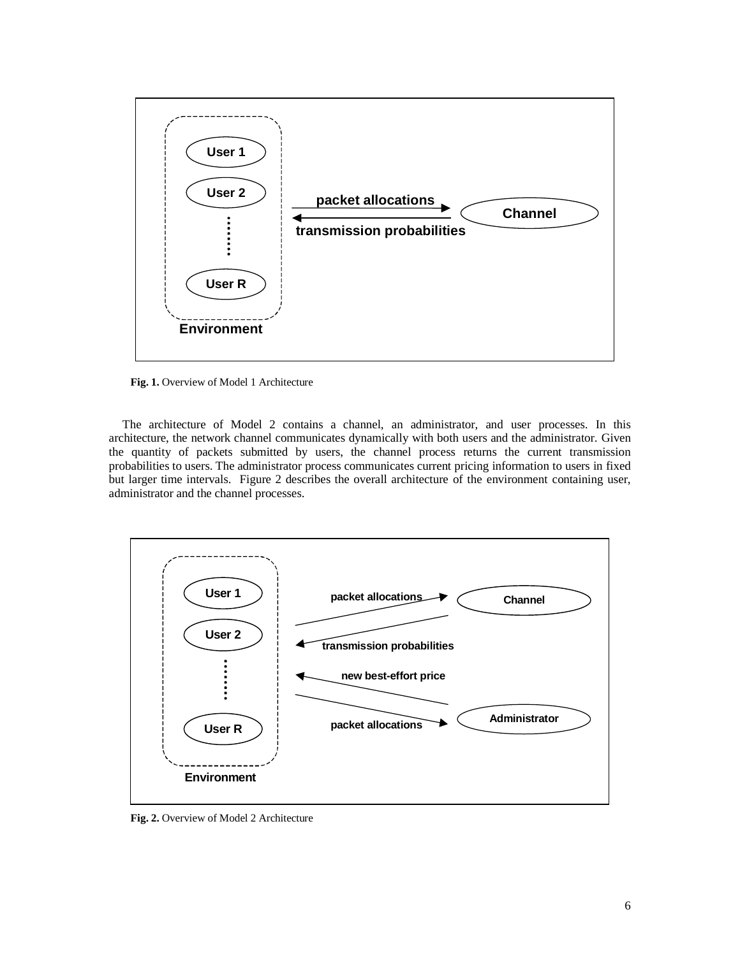

**Fig. 1.** Overview of Model 1 Architecture

The architecture of Model 2 contains a channel, an administrator, and user processes. In this architecture, the network channel communicates dynamically with both users and the administrator. Given the quantity of packets submitted by users, the channel process returns the current transmission probabilities to users. The administrator process communicates current pricing information to users in fixed but larger time intervals. Figure 2 describes the overall architecture of the environment containing user, administrator and the channel processes.



**Fig. 2.** Overview of Model 2 Architecture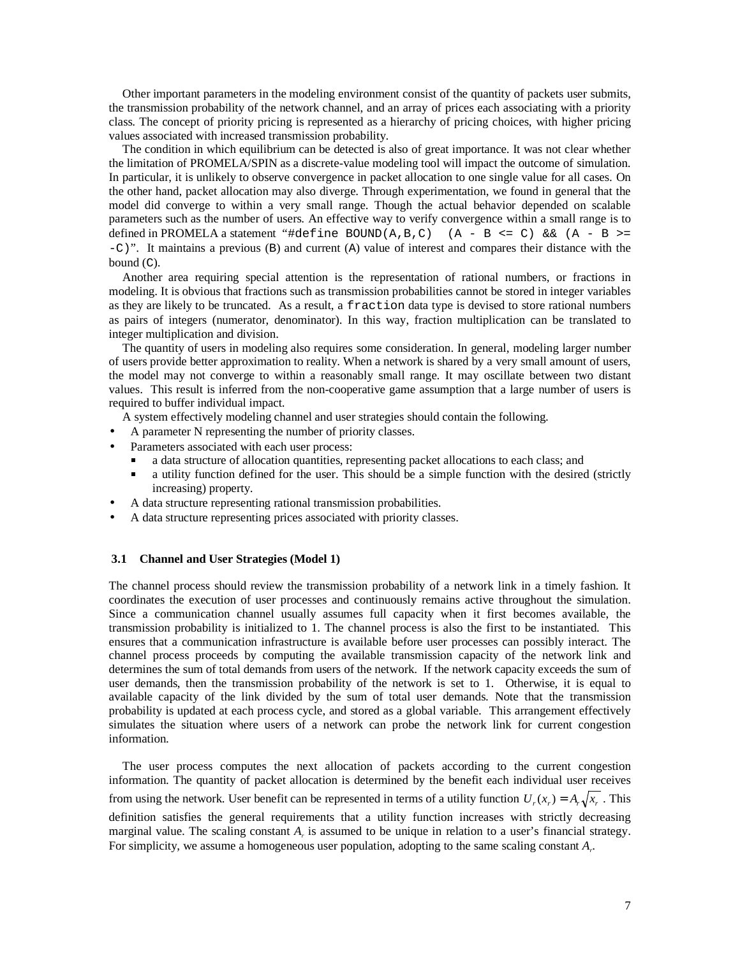Other important parameters in the modeling environment consist of the quantity of packets user submits, the transmission probability of the network channel, and an array of prices each associating with a priority class. The concept of priority pricing is represented as a hierarchy of pricing choices, with higher pricing values associated with increased transmission probability.

The condition in which equilibrium can be detected is also of great importance. It was not clear whether the limitation of PROMELA/SPIN as a discrete-value modeling tool will impact the outcome of simulation. In particular, it is unlikely to observe convergence in packet allocation to one single value for all cases. On the other hand, packet allocation may also diverge. Through experimentation, we found in general that the model did converge to within a very small range. Though the actual behavior depended on scalable parameters such as the number of users. An effective way to verify convergence within a small range is to defined in PROMELA a statement "#define BOUND( $A, B, C$ ) ( $A - B \le C$ ) && ( $A - B \ge C$  $-C$ )". It maintains a previous (B) and current (A) value of interest and compares their distance with the bound (C).

Another area requiring special attention is the representation of rational numbers, or fractions in modeling. It is obvious that fractions such as transmission probabilities cannot be stored in integer variables as they are likely to be truncated. As a result, a fraction data type is devised to store rational numbers as pairs of integers (numerator, denominator). In this way, fraction multiplication can be translated to integer multiplication and division.

The quantity of users in modeling also requires some consideration. In general, modeling larger number of users provide better approximation to reality. When a network is shared by a very small amount of users, the model may not converge to within a reasonably small range. It may oscillate between two distant values. This result is inferred from the non-cooperative game assumption that a large number of users is required to buffer individual impact.

A system effectively modeling channel and user strategies should contain the following.

- A parameter N representing the number of priority classes.
- Parameters associated with each user process:
	- a data structure of allocation quantities, representing packet allocations to each class; and
	- a utility function defined for the user. This should be a simple function with the desired (strictly increasing) property.
- A data structure representing rational transmission probabilities.
- A data structure representing prices associated with priority classes.

# **3.1 Channel and User Strategies (Model 1)**

The channel process should review the transmission probability of a network link in a timely fashion. It coordinates the execution of user processes and continuously remains active throughout the simulation. Since a communication channel usually assumes full capacity when it first becomes available, the transmission probability is initialized to 1. The channel process is also the first to be instantiated. This ensures that a communication infrastructure is available before user processes can possibly interact. The channel process proceeds by computing the available transmission capacity of the network link and determines the sum of total demands from users of the network. If the network capacity exceeds the sum of user demands, then the transmission probability of the network is set to 1. Otherwise, it is equal to available capacity of the link divided by the sum of total user demands. Note that the transmission probability is updated at each process cycle, and stored as a global variable. This arrangement effectively simulates the situation where users of a network can probe the network link for current congestion information.

The user process computes the next allocation of packets according to the current congestion information. The quantity of packet allocation is determined by the benefit each individual user receives from using the network. User benefit can be represented in terms of a utility function  $U_r(x_r) = A_r \sqrt{x_r}$ . This definition satisfies the general requirements that a utility function increases with strictly decreasing marginal value. The scaling constant *A<sup>r</sup>* is assumed to be unique in relation to a user's financial strategy. For simplicity, we assume a homogeneous user population, adopting to the same scaling constant *A<sup>r</sup>* .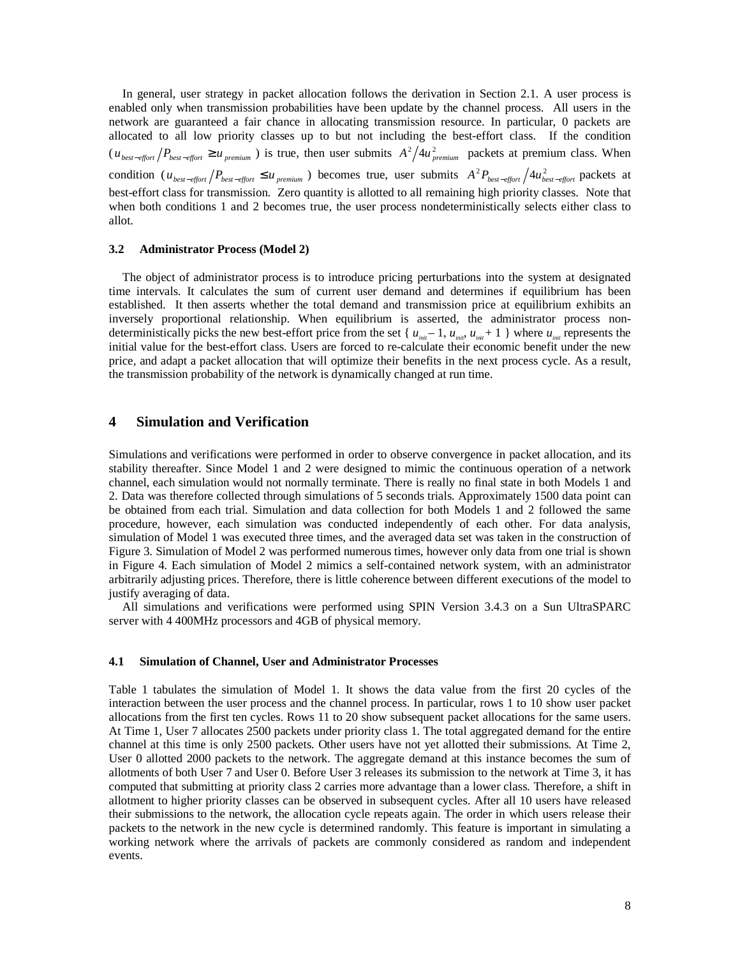In general, user strategy in packet allocation follows the derivation in Section 2.1. A user process is enabled only when transmission probabilities have been update by the channel process. All users in the network are guaranteed a fair chance in allocating transmission resource. In particular, 0 packets are allocated to all low priority classes up to but not including the best-effort class. If the condition  $(u_{best-efjort}/P_{best-efjort} \ge u_{premium}$ ) is true, then user submits  $A^2/4u_{premium}^2$  packets at premium class. When condition  $(u_{best-efjort}/P_{best-efjort} \le u_{premium}$ ) becomes true, user submits  $A^2 P_{best-efjort}/4u_{best-efjort}^2$  packets at best-effort class for transmission. Zero quantity is allotted to all remaining high priority classes. Note that when both conditions 1 and 2 becomes true, the user process nondeterministically selects either class to allot.

#### **3.2 Administrator Process (Model 2)**

The object of administrator process is to introduce pricing perturbations into the system at designated time intervals. It calculates the sum of current user demand and determines if equilibrium has been established. It then asserts whether the total demand and transmission price at equilibrium exhibits an inversely proportional relationship. When equilibrium is asserted, the administrator process nondeterministically picks the new best-effort price from the set {  $u_{_{init}}-1$ ,  $u_{_{init}}$ ,  $u_{_{init}}+1$  } where  $u_{_{init}}$  represents the initial value for the best-effort class. Users are forced to re-calculate their economic benefit under the new price, and adapt a packet allocation that will optimize their benefits in the next process cycle. As a result, the transmission probability of the network is dynamically changed at run time.

# **4 Simulation and Verification**

Simulations and verifications were performed in order to observe convergence in packet allocation, and its stability thereafter. Since Model 1 and 2 were designed to mimic the continuous operation of a network channel, each simulation would not normally terminate. There is really no final state in both Models 1 and 2. Data was therefore collected through simulations of 5 seconds trials. Approximately 1500 data point can be obtained from each trial. Simulation and data collection for both Models 1 and 2 followed the same procedure, however, each simulation was conducted independently of each other. For data analysis, simulation of Model 1 was executed three times, and the averaged data set was taken in the construction of Figure 3. Simulation of Model 2 was performed numerous times, however only data from one trial is shown in Figure 4. Each simulation of Model 2 mimics a self-contained network system, with an administrator arbitrarily adjusting prices. Therefore, there is little coherence between different executions of the model to justify averaging of data.

All simulations and verifications were performed using SPIN Version 3.4.3 on a Sun UltraSPARC server with 4 400MHz processors and 4GB of physical memory.

#### **4.1 Simulation of Channel, User and Administrator Processes**

Table 1 tabulates the simulation of Model 1. It shows the data value from the first 20 cycles of the interaction between the user process and the channel process. In particular, rows 1 to 10 show user packet allocations from the first ten cycles. Rows 11 to 20 show subsequent packet allocations for the same users. At Time 1, User 7 allocates 2500 packets under priority class 1. The total aggregated demand for the entire channel at this time is only 2500 packets. Other users have not yet allotted their submissions. At Time 2, User 0 allotted 2000 packets to the network. The aggregate demand at this instance becomes the sum of allotments of both User 7 and User 0. Before User 3 releases its submission to the network at Time 3, it has computed that submitting at priority class 2 carries more advantage than a lower class. Therefore, a shift in allotment to higher priority classes can be observed in subsequent cycles. After all 10 users have released their submissions to the network, the allocation cycle repeats again. The order in which users release their packets to the network in the new cycle is determined randomly. This feature is important in simulating a working network where the arrivals of packets are commonly considered as random and independent events.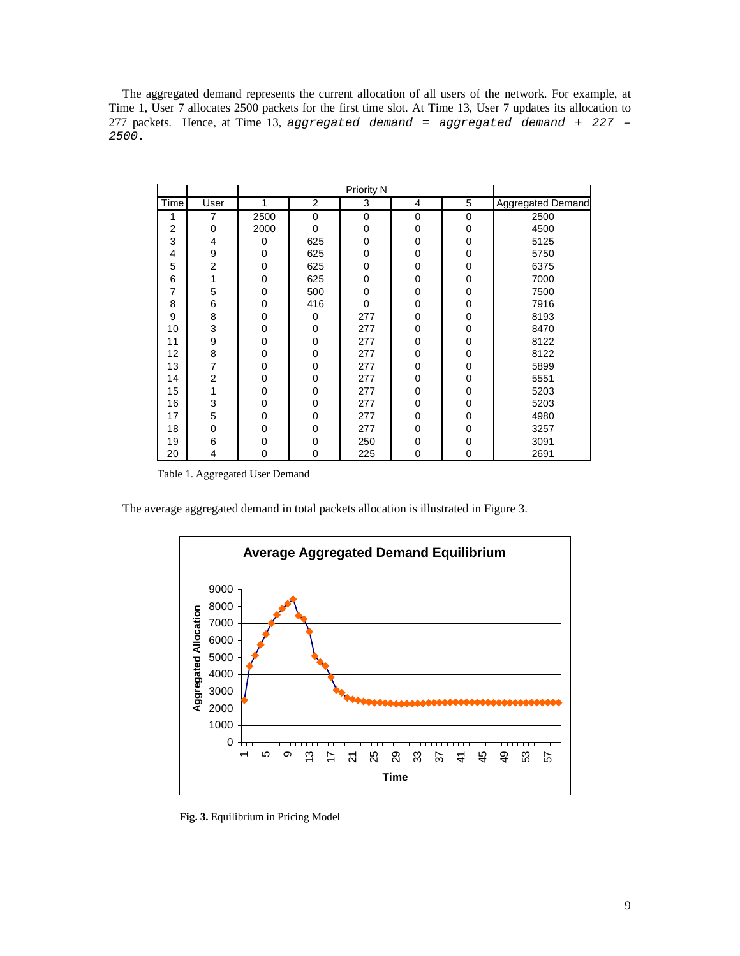The aggregated demand represents the current allocation of all users of the network. For example, at Time 1, User 7 allocates 2500 packets for the first time slot. At Time 13, User 7 updates its allocation to 277 packets. Hence, at Time 13, aggregated demand = aggregated demand + 227 -2500.

|                |                | <b>Priority N</b> |          |             |          |             |                   |
|----------------|----------------|-------------------|----------|-------------|----------|-------------|-------------------|
| Time           | User           | 1                 | 2        | 3           | 4        | 5           | Aggregated Demand |
|                | 7              | 2500              | 0        | 0           | $\Omega$ | 0           | 2500              |
| $\overline{2}$ | 0              | 2000              | 0        | 0           | $\Omega$ | $\mathbf 0$ | 4500              |
| 3              | 4              | 0                 | 625      | $\mathbf 0$ | $\Omega$ | $\mathbf 0$ | 5125              |
| 4              | 9              | 0                 | 625      | $\mathbf 0$ | 0        | 0           | 5750              |
| 5              | $\overline{2}$ | 0                 | 625      | $\mathbf 0$ | 0        | 0           | 6375              |
| 6              | 1              | 0                 | 625      | 0           | $\Omega$ | 0           | 7000              |
| 7              | 5              | 0                 | 500      | $\mathbf 0$ | 0        | 0           | 7500              |
| 8              | 6              | 0                 | 416      | $\Omega$    | 0        | $\mathbf 0$ | 7916              |
| 9              | 8              | $\Omega$          | 0        | 277         | 0        | $\mathbf 0$ | 8193              |
| 10             | 3              | 0                 | 0        | 277         | 0        | 0           | 8470              |
| 11             | 9              | 0                 | 0        | 277         | 0        | $\mathbf 0$ | 8122              |
| 12             | 8              | $\Omega$          | 0        | 277         | 0        | 0           | 8122              |
| 13             | 7              | 0                 | 0        | 277         | 0        | 0           | 5899              |
| 14             | $\overline{2}$ | $\Omega$          | $\Omega$ | 277         | 0        | $\mathbf 0$ | 5551              |
| 15             | 1              | $\Omega$          | 0        | 277         | 0        | 0           | 5203              |
| 16             | 3              | 0                 | 0        | 277         | 0        | 0           | 5203              |
| 17             | 5              | $\Omega$          | $\Omega$ | 277         | $\Omega$ | 0           | 4980              |
| 18             | 0              | $\Omega$          | 0        | 277         | 0        | 0           | 3257              |
| 19             | 6              | 0                 | 0        | 250         | 0        | 0           | 3091              |
| 20             | 4              | 0                 | 0        | 225         | 0        | $\mathbf 0$ | 2691              |

Table 1. Aggregated User Demand

The average aggregated demand in total packets allocation is illustrated in Figure 3.



**Fig. 3.** Equilibrium in Pricing Model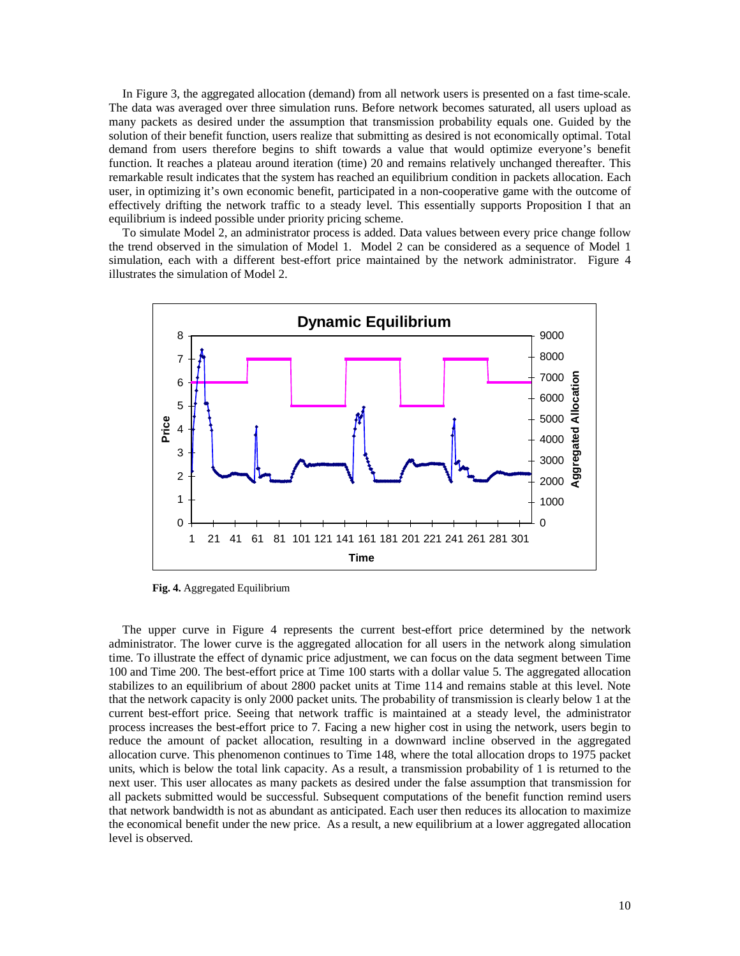In Figure 3, the aggregated allocation (demand) from all network users is presented on a fast time-scale. The data was averaged over three simulation runs. Before network becomes saturated, all users upload as many packets as desired under the assumption that transmission probability equals one. Guided by the solution of their benefit function, users realize that submitting as desired is not economically optimal. Total demand from users therefore begins to shift towards a value that would optimize everyone's benefit function. It reaches a plateau around iteration (time) 20 and remains relatively unchanged thereafter. This remarkable result indicates that the system has reached an equilibrium condition in packets allocation. Each user, in optimizing it's own economic benefit, participated in a non-cooperative game with the outcome of effectively drifting the network traffic to a steady level. This essentially supports Proposition I that an equilibrium is indeed possible under priority pricing scheme.

To simulate Model 2, an administrator process is added. Data values between every price change follow the trend observed in the simulation of Model 1. Model 2 can be considered as a sequence of Model 1 simulation, each with a different best-effort price maintained by the network administrator. Figure 4 illustrates the simulation of Model 2.



**Fig. 4.** Aggregated Equilibrium

The upper curve in Figure 4 represents the current best-effort price determined by the network administrator. The lower curve is the aggregated allocation for all users in the network along simulation time. To illustrate the effect of dynamic price adjustment, we can focus on the data segment between Time 100 and Time 200. The best-effort price at Time 100 starts with a dollar value 5. The aggregated allocation stabilizes to an equilibrium of about 2800 packet units at Time 114 and remains stable at this level. Note that the network capacity is only 2000 packet units. The probability of transmission is clearly below 1 at the current best-effort price. Seeing that network traffic is maintained at a steady level, the administrator process increases the best-effort price to 7. Facing a new higher cost in using the network, users begin to reduce the amount of packet allocation, resulting in a downward incline observed in the aggregated allocation curve. This phenomenon continues to Time 148, where the total allocation drops to 1975 packet units, which is below the total link capacity. As a result, a transmission probability of 1 is returned to the next user. This user allocates as many packets as desired under the false assumption that transmission for all packets submitted would be successful. Subsequent computations of the benefit function remind users that network bandwidth is not as abundant as anticipated. Each user then reduces its allocation to maximize the economical benefit under the new price. As a result, a new equilibrium at a lower aggregated allocation level is observed.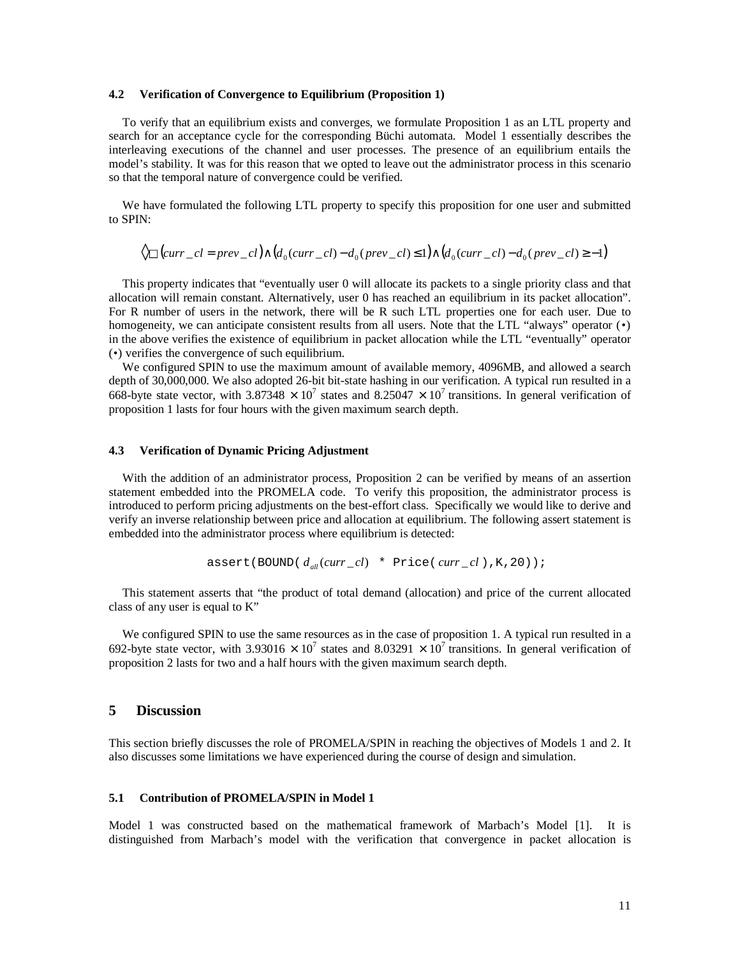#### **4.2 Verification of Convergence to Equilibrium (Proposition 1)**

To verify that an equilibrium exists and converges, we formulate Proposition 1 as an LTL property and search for an acceptance cycle for the corresponding Büchi automata. Model 1 essentially describes the interleaving executions of the channel and user processes. The presence of an equilibrium entails the model's stability. It was for this reason that we opted to leave out the administrator process in this scenario so that the temporal nature of convergence could be verified.

We have formulated the following LTL property to specify this proposition for one user and submitted to SPIN:

$$
\Diamond \Box (curr\_cl = prev\_cl) \land (d_0(curr\_cl) - d_0(prev\_cl) \le 1) \land (d_0(curr\_cl) - d_0(prev\_cl) \ge -1)
$$

This property indicates that "eventually user 0 will allocate its packets to a single priority class and that allocation will remain constant. Alternatively, user 0 has reached an equilibrium in its packet allocation". For R number of users in the network, there will be R such LTL properties one for each user. Due to homogeneity, we can anticipate consistent results from all users. Note that the LTL "always" operator (•) in the above verifies the existence of equilibrium in packet allocation while the LTL "eventually" operator (•) verifies the convergence of such equilibrium.

We configured SPIN to use the maximum amount of available memory, 4096MB, and allowed a search depth of 30,000,000. We also adopted 26-bit bit-state hashing in our verification. A typical run resulted in a 668-byte state vector, with 3.87348  $\times$  10<sup>7</sup> states and 8.25047  $\times$  10<sup>7</sup> transitions. In general verification of proposition 1 lasts for four hours with the given maximum search depth.

### **4.3 Verification of Dynamic Pricing Adjustment**

With the addition of an administrator process, Proposition 2 can be verified by means of an assertion statement embedded into the PROMELA code. To verify this proposition, the administrator process is introduced to perform pricing adjustments on the best-effort class. Specifically we would like to derive and verify an inverse relationship between price and allocation at equilibrium. The following assert statement is embedded into the administrator process where equilibrium is detected:

$$
\texttt{assert}(\texttt{BOUND}(d_{\textit{all}}(\textit{curr\_cl}) \texttt{* Price}(\textit{curr\_cl}), K, 20));
$$

This statement asserts that "the product of total demand (allocation) and price of the current allocated class of any user is equal to K"

We configured SPIN to use the same resources as in the case of proposition 1. A typical run resulted in a 692-byte state vector, with 3.93016  $\times$  10<sup>7</sup> states and 8.03291  $\times$  10<sup>7</sup> transitions. In general verification of proposition 2 lasts for two and a half hours with the given maximum search depth.

# **5 Discussion**

This section briefly discusses the role of PROMELA/SPIN in reaching the objectives of Models 1 and 2. It also discusses some limitations we have experienced during the course of design and simulation.

# **5.1 Contribution of PROMELA/SPIN in Model 1**

Model 1 was constructed based on the mathematical framework of Marbach's Model [1]. It is distinguished from Marbach's model with the verification that convergence in packet allocation is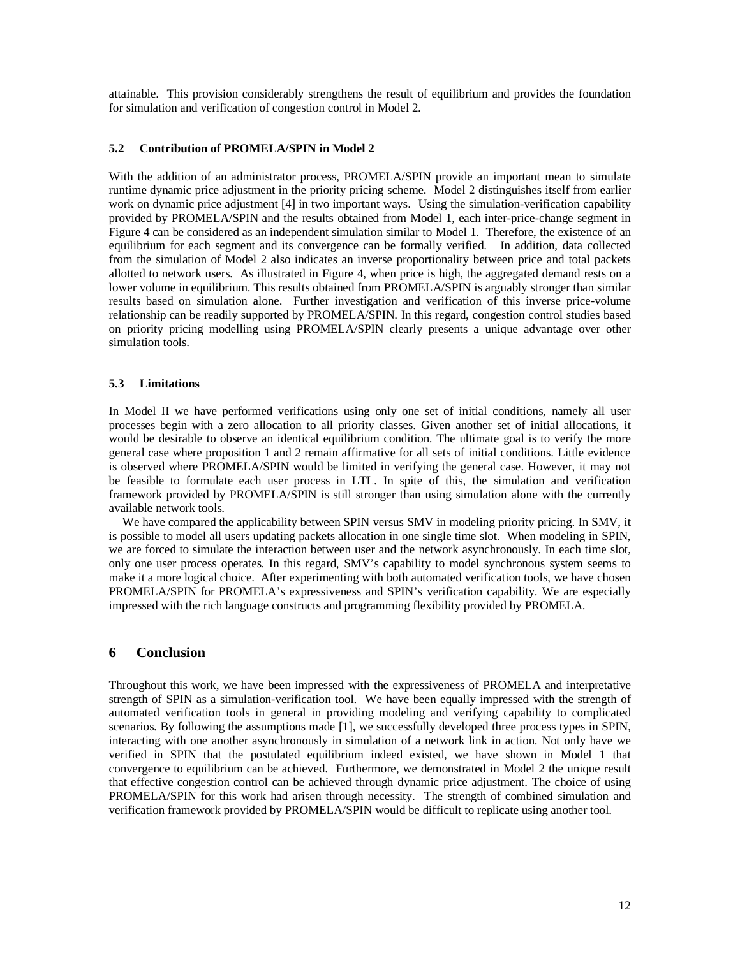attainable. This provision considerably strengthens the result of equilibrium and provides the foundation for simulation and verification of congestion control in Model 2.

### **5.2 Contribution of PROMELA/SPIN in Model 2**

With the addition of an administrator process, PROMELA/SPIN provide an important mean to simulate runtime dynamic price adjustment in the priority pricing scheme. Model 2 distinguishes itself from earlier work on dynamic price adjustment [4] in two important ways. Using the simulation-verification capability provided by PROMELA/SPIN and the results obtained from Model 1, each inter-price-change segment in Figure 4 can be considered as an independent simulation similar to Model 1. Therefore, the existence of an equilibrium for each segment and its convergence can be formally verified. In addition, data collected from the simulation of Model 2 also indicates an inverse proportionality between price and total packets allotted to network users. As illustrated in Figure 4, when price is high, the aggregated demand rests on a lower volume in equilibrium. This results obtained from PROMELA/SPIN is arguably stronger than similar results based on simulation alone. Further investigation and verification of this inverse price-volume relationship can be readily supported by PROMELA/SPIN. In this regard, congestion control studies based on priority pricing modelling using PROMELA/SPIN clearly presents a unique advantage over other simulation tools.

### **5.3 Limitations**

In Model II we have performed verifications using only one set of initial conditions, namely all user processes begin with a zero allocation to all priority classes. Given another set of initial allocations, it would be desirable to observe an identical equilibrium condition. The ultimate goal is to verify the more general case where proposition 1 and 2 remain affirmative for all sets of initial conditions. Little evidence is observed where PROMELA/SPIN would be limited in verifying the general case. However, it may not be feasible to formulate each user process in LTL. In spite of this, the simulation and verification framework provided by PROMELA/SPIN is still stronger than using simulation alone with the currently available network tools.

We have compared the applicability between SPIN versus SMV in modeling priority pricing. In SMV, it is possible to model all users updating packets allocation in one single time slot. When modeling in SPIN, we are forced to simulate the interaction between user and the network asynchronously. In each time slot, only one user process operates. In this regard, SMV's capability to model synchronous system seems to make it a more logical choice. After experimenting with both automated verification tools, we have chosen PROMELA/SPIN for PROMELA's expressiveness and SPIN's verification capability. We are especially impressed with the rich language constructs and programming flexibility provided by PROMELA.

### **6 Conclusion**

Throughout this work, we have been impressed with the expressiveness of PROMELA and interpretative strength of SPIN as a simulation-verification tool. We have been equally impressed with the strength of automated verification tools in general in providing modeling and verifying capability to complicated scenarios. By following the assumptions made [1], we successfully developed three process types in SPIN, interacting with one another asynchronously in simulation of a network link in action. Not only have we verified in SPIN that the postulated equilibrium indeed existed, we have shown in Model 1 that convergence to equilibrium can be achieved. Furthermore, we demonstrated in Model 2 the unique result that effective congestion control can be achieved through dynamic price adjustment. The choice of using PROMELA/SPIN for this work had arisen through necessity. The strength of combined simulation and verification framework provided by PROMELA/SPIN would be difficult to replicate using another tool.